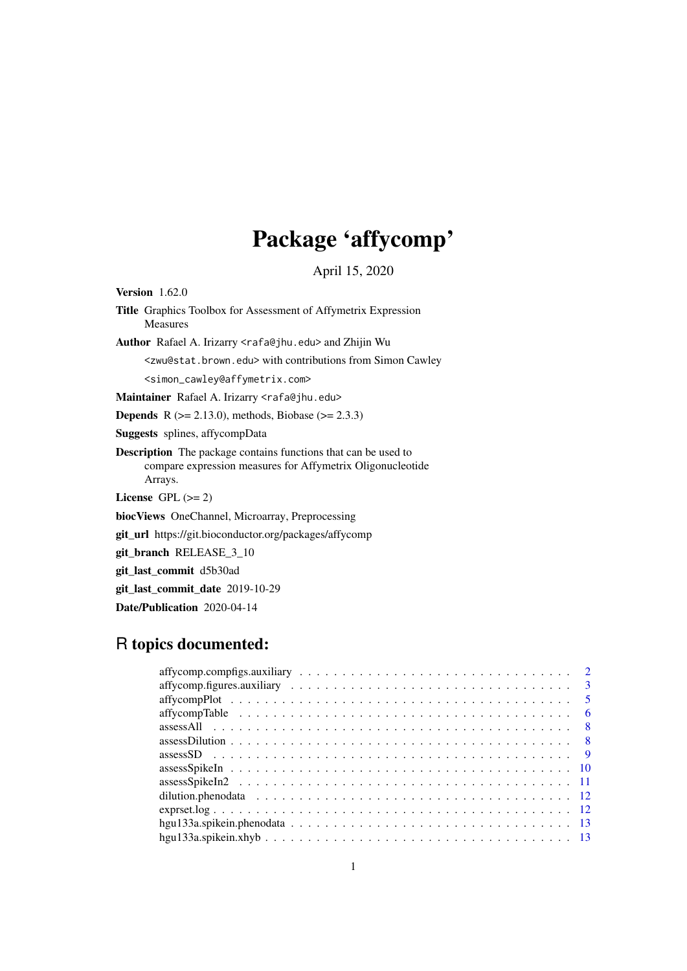# Package 'affycomp'

April 15, 2020

<span id="page-0-0"></span>Version 1.62.0

Title Graphics Toolbox for Assessment of Affymetrix Expression Measures

Author Rafael A. Irizarry <rafa@jhu.edu> and Zhijin Wu

<zwu@stat.brown.edu> with contributions from Simon Cawley

<simon\_cawley@affymetrix.com>

Maintainer Rafael A. Irizarry <rafa@jhu.edu>

**Depends** R ( $>= 2.13.0$ ), methods, Biobase ( $>= 2.3.3$ )

Suggests splines, affycompData

Description The package contains functions that can be used to compare expression measures for Affymetrix Oligonucleotide Arrays.

License GPL  $(>= 2)$ 

biocViews OneChannel, Microarray, Preprocessing

git\_url https://git.bioconductor.org/packages/affycomp

git\_branch RELEASE\_3\_10

git\_last\_commit d5b30ad

git\_last\_commit\_date 2019-10-29

Date/Publication 2020-04-14

# R topics documented:

| $\overline{3}$ |
|----------------|
| -5             |
| -6             |
| - 8            |
|                |
|                |
|                |
|                |
|                |
|                |
|                |
|                |
|                |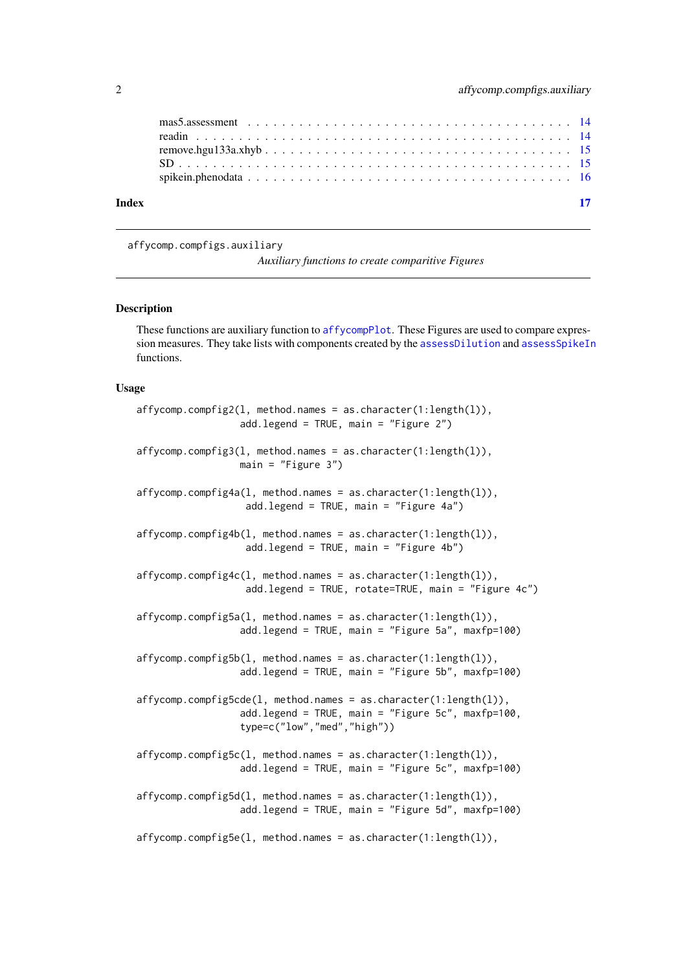<span id="page-1-0"></span>

|       | mas5.assessment $\ldots \ldots \ldots \ldots \ldots \ldots \ldots \ldots \ldots \ldots \ldots \ldots \ldots$ |  |  |  |  |  |  |  |  |  |  |  |  |  |  |  |  |
|-------|--------------------------------------------------------------------------------------------------------------|--|--|--|--|--|--|--|--|--|--|--|--|--|--|--|--|
|       |                                                                                                              |  |  |  |  |  |  |  |  |  |  |  |  |  |  |  |  |
| Index |                                                                                                              |  |  |  |  |  |  |  |  |  |  |  |  |  |  |  |  |

affycomp.compfigs.auxiliary

*Auxiliary functions to create comparitive Figures*

### Description

These functions are auxiliary function to [affycompPlot](#page-4-1). These Figures are used to compare expression measures. They take lists with components created by the [assessDilution](#page-7-1) and [assessSpikeIn](#page-9-1) functions.

### Usage

```
affycomp.compfig2(l, method.names = as.character(1:length(l)),
                  add.legend = TRUE, main = "Figure 2")
affycomp.compfig3(l, method.names = as.character(1:length(l)),
                  main = "Figure 3")affycomp.compfig4a(l, method.names = as.character(1:length(l)),
                   add.legend = TRUE, main = "Figure 4a")
affycomp.compfig4b(l, method.names = as.character(1:length(l)),
                   add.legend = TRUE, main = "Figure 4b")
affycomp.compfig4c(l, method.names = as.character(1:length(l)),
                   add.legend = TRUE, rotate=TRUE, main = "Figure 4c")
affycomp.compfig5a(l, method.names = as.character(1:length(l)),
                  add.legend = TRUE, main = "Figure 5a", maxfp=100)
affycomp.compfig5b(l, method.names = as.character(1:length(l)),
                  add.legend = TRUE, main = "Figure 5b", maxfp=100)
affycomp.compfig5cde(l, method.names = as.character(1:length(l)),
                  add.legend = TRUE, main = "Figure 5c", maxfp=100,
                  type=c("low","med","high"))
affycomp.compfig5c(l, method.names = as.character(1:length(l)),
                  add.legend = TRUE, main = "Figure 5c", maxfp=100)
affycomp.compfig5d(l, method.names = as.character(1:length(l)),
                  add.legend = TRUE, main = "Figure 5d", maxfp=100)
affycomp.compfig5e(l, method.names = as.character(1:length(l)),
```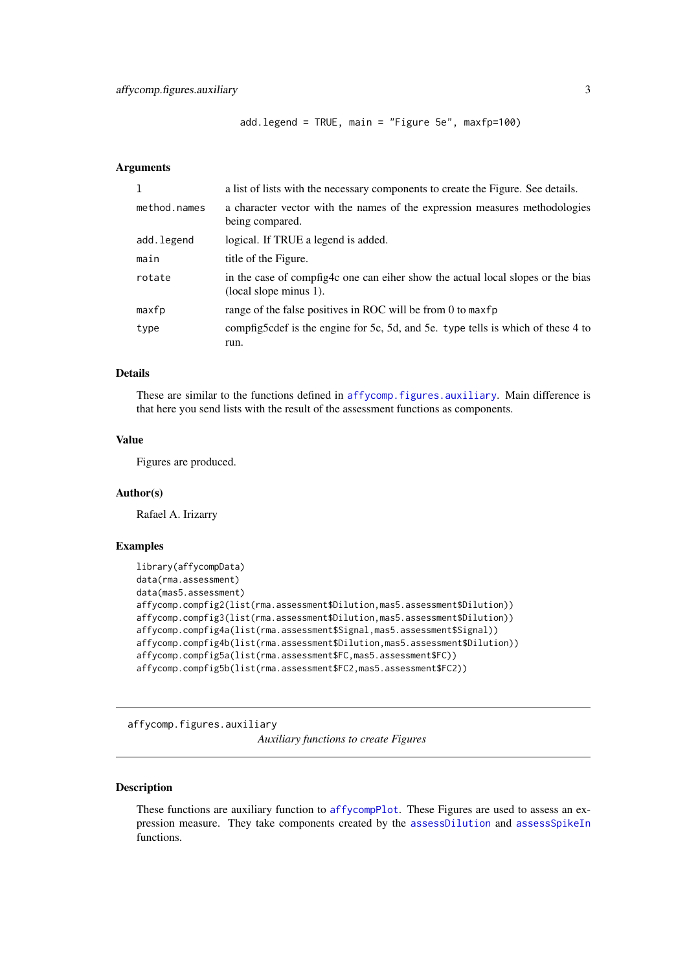```
add.legend = TRUE, main = "Figure 5e", maxfp=100)
```
#### <span id="page-2-0"></span>Arguments

| 1            | a list of lists with the necessary components to create the Figure. See details.                          |
|--------------|-----------------------------------------------------------------------------------------------------------|
| method.names | a character vector with the names of the expression measures methodologies<br>being compared.             |
| add.legend   | logical. If TRUE a legend is added.                                                                       |
| main         | title of the Figure.                                                                                      |
| rotate       | in the case of compfig4c one can eiher show the actual local slopes or the bias<br>(local slope minus 1). |
| maxfp        | range of the false positives in ROC will be from 0 to maxfp                                               |
| type         | compfig5cdef is the engine for 5c, 5d, and 5e. type tells is which of these 4 to<br>run.                  |

# Details

These are similar to the functions defined in [affycomp.figures.auxiliary](#page-2-1). Main difference is that here you send lists with the result of the assessment functions as components.

#### Value

Figures are produced.

# Author(s)

Rafael A. Irizarry

#### Examples

```
library(affycompData)
data(rma.assessment)
data(mas5.assessment)
affycomp.compfig2(list(rma.assessment$Dilution,mas5.assessment$Dilution))
affycomp.compfig3(list(rma.assessment$Dilution,mas5.assessment$Dilution))
affycomp.compfig4a(list(rma.assessment$Signal,mas5.assessment$Signal))
affycomp.compfig4b(list(rma.assessment$Dilution,mas5.assessment$Dilution))
affycomp.compfig5a(list(rma.assessment$FC,mas5.assessment$FC))
affycomp.compfig5b(list(rma.assessment$FC2,mas5.assessment$FC2))
```

```
affycomp.figures.auxiliary
```
*Auxiliary functions to create Figures*

# Description

These functions are auxiliary function to [affycompPlot](#page-4-1). These Figures are used to assess an expression measure. They take components created by the [assessDilution](#page-7-1) and [assessSpikeIn](#page-9-1) functions.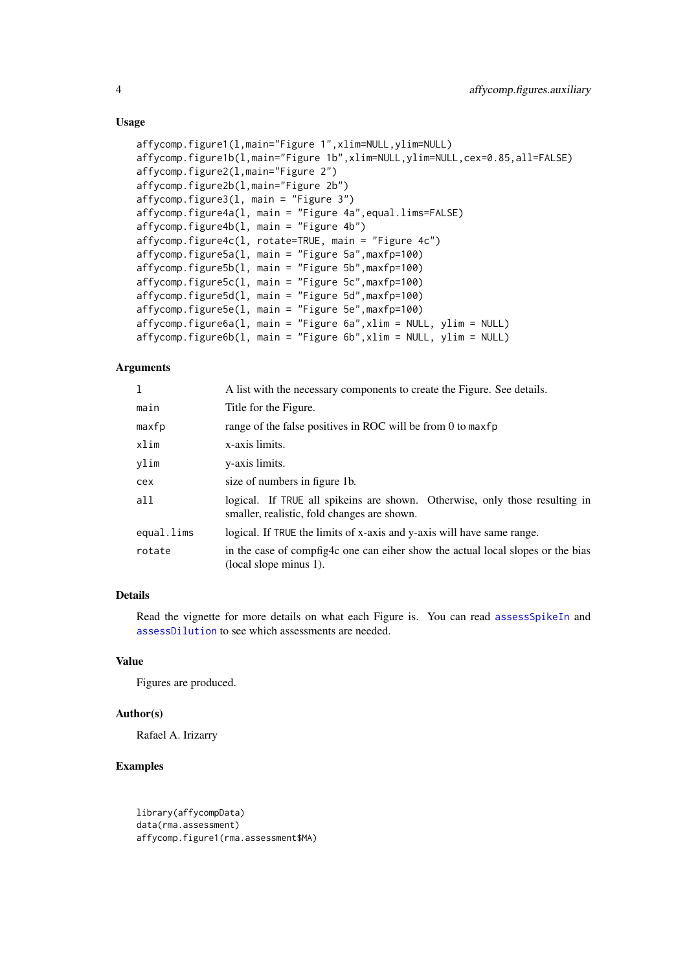#### Usage

```
affycomp.figure1(l,main="Figure 1",xlim=NULL,ylim=NULL)
affycomp.figure1b(l,main="Figure 1b",xlim=NULL,ylim=NULL,cex=0.85,all=FALSE)
affycomp.figure2(l,main="Figure 2")
affycomp.figure2b(l,main="Figure 2b")
affycomp.figure3(l, main = "Figure 3")
affycomp.figure4a(l, main = "Figure 4a",equal.lims=FALSE)
affycomp.figure4b(l, main = "Figure 4b")
affycomp.figure4c(l, rotate=TRUE, main = "Figure 4c")
affycomp.figure5a(l, main = "Figure 5a",maxfp=100)
affycomp.figure5b(1, main = "Figure 5b", maxfp=100)affycomp.figure5c(1, main = "Figure 5c", maxfp=100)affycomp.figure5d(l, main = "Figure 5d",maxfp=100)
affycomp.figure5e(l, main = "Figure 5e",maxfp=100)
affycomp.figure6a(l, main = "Figure 6a",xlim = NULL, ylim = NULL)
affycomp.figure6b(l, main = "Figure 6b",xlim = NULL, ylim = NULL)
```
#### Arguments

| $\mathbf{1}$ | A list with the necessary components to create the Figure. See details.                                                    |  |  |  |  |  |
|--------------|----------------------------------------------------------------------------------------------------------------------------|--|--|--|--|--|
| main         | Title for the Figure.                                                                                                      |  |  |  |  |  |
| maxfp        | range of the false positives in ROC will be from 0 to maxfp                                                                |  |  |  |  |  |
| xlim         | x-axis limits.                                                                                                             |  |  |  |  |  |
| ylim         | y-axis limits.                                                                                                             |  |  |  |  |  |
| cex          | size of numbers in figure 1b.                                                                                              |  |  |  |  |  |
| all          | logical. If TRUE all spikeins are shown. Otherwise, only those resulting in<br>smaller, realistic, fold changes are shown. |  |  |  |  |  |
| equal.lims   | logical. If TRUE the limits of x-axis and y-axis will have same range.                                                     |  |  |  |  |  |
| rotate       | in the case of compfig4c one can eiher show the actual local slopes or the bias<br>(local slope minus 1).                  |  |  |  |  |  |

#### Details

Read the vignette for more details on what each Figure is. You can read [assessSpikeIn](#page-9-1) and [assessDilution](#page-7-1) to see which assessments are needed.

# Value

Figures are produced.

#### Author(s)

Rafael A. Irizarry

#### Examples

```
library(affycompData)
data(rma.assessment)
affycomp.figure1(rma.assessment$MA)
```
<span id="page-3-0"></span>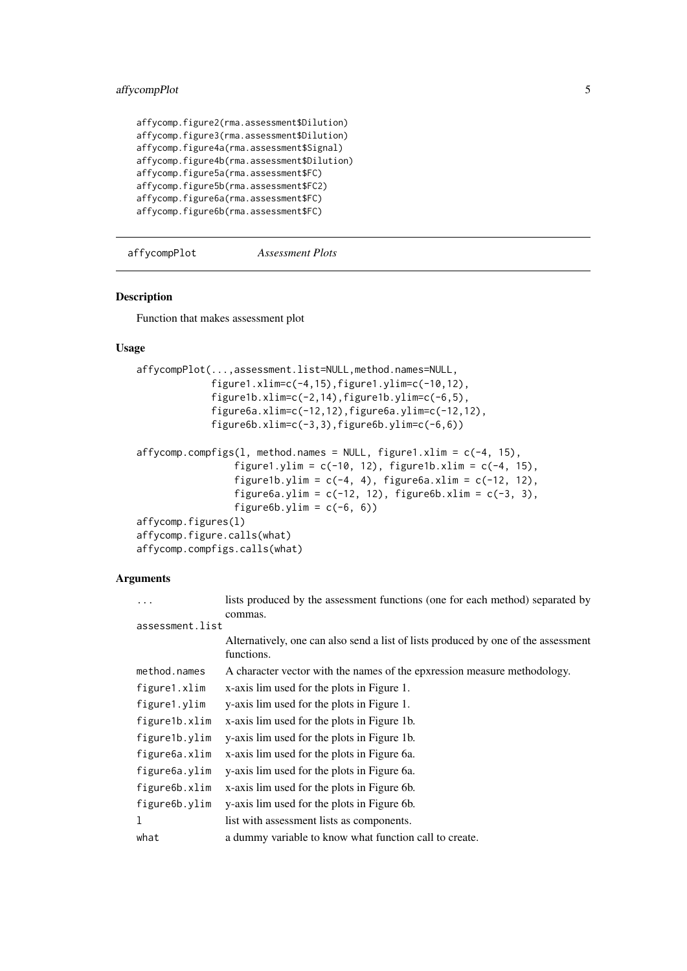#### <span id="page-4-0"></span>affycompPlot 5

```
affycomp.figure2(rma.assessment$Dilution)
affycomp.figure3(rma.assessment$Dilution)
affycomp.figure4a(rma.assessment$Signal)
affycomp.figure4b(rma.assessment$Dilution)
affycomp.figure5a(rma.assessment$FC)
affycomp.figure5b(rma.assessment$FC2)
affycomp.figure6a(rma.assessment$FC)
affycomp.figure6b(rma.assessment$FC)
```
<span id="page-4-1"></span>affycompPlot *Assessment Plots*

# Description

Function that makes assessment plot

# Usage

```
affycompPlot(...,assessment.list=NULL,method.names=NULL,
             figure1.xlim=c(-4,15),figure1.ylim=c(-10,12),
             figure1b.xlim=c(-2,14),figure1b.ylim=c(-6,5),
             figure6a.xlim=c(-12,12),figure6a.ylim=c(-12,12),
             figure6b.xlim=c(-3,3),figure6b.ylim=c(-6,6))
affycomp.compfigs(1, method.names = NULL, figure1.xlim = c(-4, 15),
                 figure1.ylim = c(-10, 12), figure1b.xlim = c(-4, 15),
                 figure1b.ylim = c(-4, 4), figure6a.xlim = c(-12, 12),
                 figure6a.ylim = c(-12, 12), figure6b.xlim = c(-3, 3),
                 figure6b.ylim = c(-6, 6))
affycomp.figures(l)
affycomp.figure.calls(what)
affycomp.compfigs.calls(what)
```
#### Arguments

| $\ddots$ .      | lists produced by the assessment functions (one for each method) separated by      |
|-----------------|------------------------------------------------------------------------------------|
|                 | commas.                                                                            |
| assessment.list |                                                                                    |
|                 | Alternatively, one can also send a list of lists produced by one of the assessment |
|                 | functions.                                                                         |
| method.names    | A character vector with the names of the epxression measure methodology.           |
| figure1.xlim    | x-axis lim used for the plots in Figure 1.                                         |
| figure1.ylim    | y-axis lim used for the plots in Figure 1.                                         |
| figure1b.xlim   | x-axis lim used for the plots in Figure 1b.                                        |
| figure1b.ylim   | y-axis lim used for the plots in Figure 1b.                                        |
| figure6a.xlim   | x-axis lim used for the plots in Figure 6a.                                        |
| figure6a.ylim   | y-axis lim used for the plots in Figure 6a.                                        |
| figure6b.xlim   | x-axis lim used for the plots in Figure 6b.                                        |
| figure6b.ylim   | y-axis lim used for the plots in Figure 6b.                                        |
| 1               | list with assessment lists as components.                                          |
| what            | a dummy variable to know what function call to create.                             |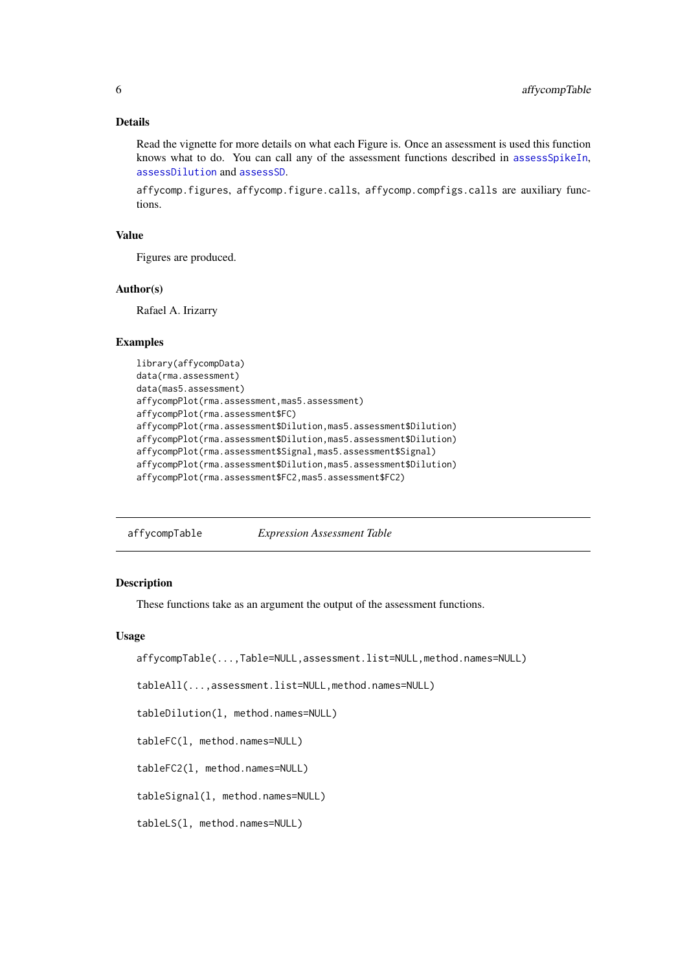#### Details

Read the vignette for more details on what each Figure is. Once an assessment is used this function knows what to do. You can call any of the assessment functions described in [assessSpikeIn](#page-9-1), [assessDilution](#page-7-1) and [assessSD](#page-8-1).

affycomp.figures, affycomp.figure.calls, affycomp.compfigs.calls are auxiliary functions.

#### Value

Figures are produced.

# Author(s)

Rafael A. Irizarry

#### Examples

```
library(affycompData)
data(rma.assessment)
data(mas5.assessment)
affycompPlot(rma.assessment,mas5.assessment)
affycompPlot(rma.assessment$FC)
affycompPlot(rma.assessment$Dilution,mas5.assessment$Dilution)
affycompPlot(rma.assessment$Dilution,mas5.assessment$Dilution)
affycompPlot(rma.assessment$Signal,mas5.assessment$Signal)
affycompPlot(rma.assessment$Dilution,mas5.assessment$Dilution)
affycompPlot(rma.assessment$FC2,mas5.assessment$FC2)
```
affycompTable *Expression Assessment Table*

#### <span id="page-5-1"></span>Description

These functions take as an argument the output of the assessment functions.

# Usage

```
affycompTable(...,Table=NULL,assessment.list=NULL,method.names=NULL)
```
tableAll(...,assessment.list=NULL,method.names=NULL)

tableDilution(l, method.names=NULL)

tableFC(l, method.names=NULL)

tableFC2(l, method.names=NULL)

tableSignal(l, method.names=NULL)

tableLS(l, method.names=NULL)

<span id="page-5-0"></span>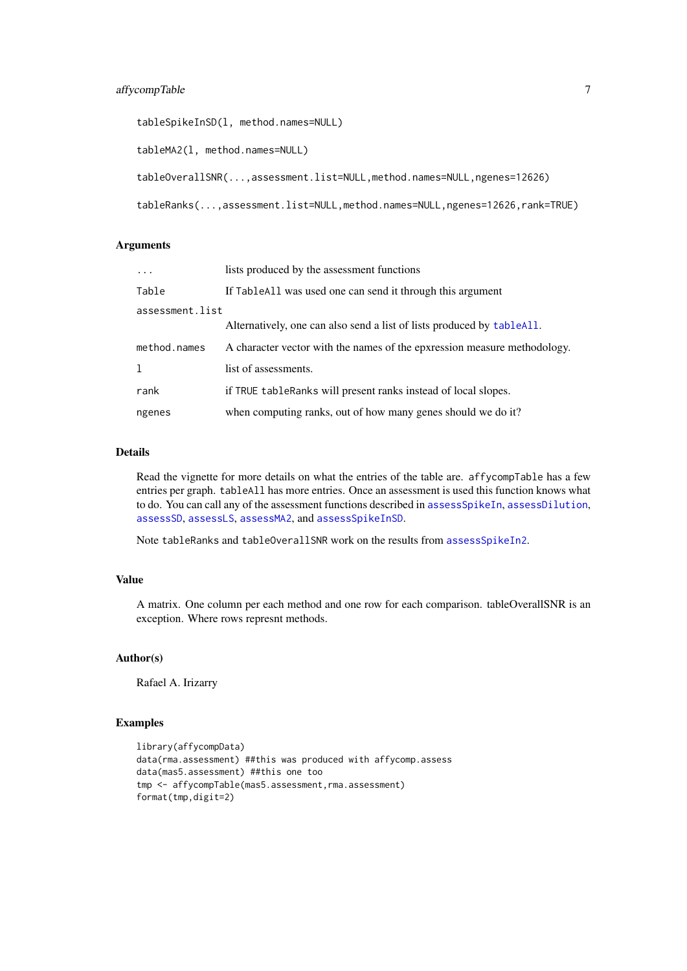```
tableSpikeInSD(l, method.names=NULL)
tableMA2(l, method.names=NULL)
tableOverallSNR(...,assessment.list=NULL,method.names=NULL,ngenes=12626)
tableRanks(...,assessment.list=NULL,method.names=NULL,ngenes=12626,rank=TRUE)
```
# Arguments

| $\ddotsc$       | lists produced by the assessment functions                               |
|-----------------|--------------------------------------------------------------------------|
| Table           | If TableAll was used one can send it through this argument               |
| assessment.list |                                                                          |
|                 | Alternatively, one can also send a list of lists produced by tableAll.   |
| method.names    | A character vector with the names of the epxression measure methodology. |
| 1               | list of assessments.                                                     |
| rank            | if TRUE table Ranks will present ranks instead of local slopes.          |
| ngenes          | when computing ranks, out of how many genes should we do it?             |

# Details

Read the vignette for more details on what the entries of the table are. affycompTable has a few entries per graph. tableAll has more entries. Once an assessment is used this function knows what to do. You can call any of the assessment functions described in [assessSpikeIn](#page-9-1), [assessDilution](#page-7-1), [assessSD](#page-8-1), [assessLS](#page-10-1), [assessMA2](#page-10-1), and [assessSpikeInSD](#page-10-1).

Note tableRanks and tableOverallSNR work on the results from [assessSpikeIn2](#page-10-2).

# Value

A matrix. One column per each method and one row for each comparison. tableOverallSNR is an exception. Where rows represnt methods.

# Author(s)

Rafael A. Irizarry

# Examples

```
library(affycompData)
data(rma.assessment) ##this was produced with affycomp.assess
data(mas5.assessment) ##this one too
tmp <- affycompTable(mas5.assessment,rma.assessment)
format(tmp,digit=2)
```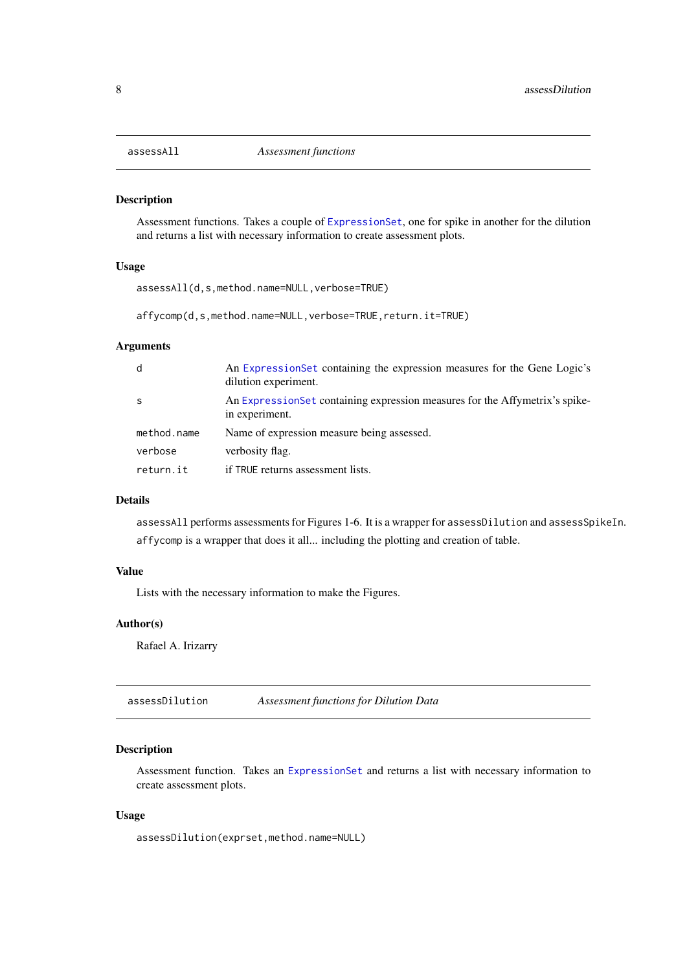<span id="page-7-2"></span><span id="page-7-0"></span>

Assessment functions. Takes a couple of [ExpressionSet](#page-0-0), one for spike in another for the dilution and returns a list with necessary information to create assessment plots.

#### Usage

assessAll(d,s,method.name=NULL,verbose=TRUE)

affycomp(d,s,method.name=NULL,verbose=TRUE,return.it=TRUE)

# Arguments

| d           | An ExpressionSet containing the expression measures for the Gene Logic's<br>dilution experiment. |
|-------------|--------------------------------------------------------------------------------------------------|
| <b>S</b>    | An ExpressionSet containing expression measures for the Affymetrix's spike-<br>in experiment.    |
| method.name | Name of expression measure being assessed.                                                       |
| verbose     | verbosity flag.                                                                                  |
| return.it   | if TRUE returns assessment lists.                                                                |

# Details

assessAll performs assessments for Figures 1-6. It is a wrapper for assessDilution and assessSpikeIn. affycomp is a wrapper that does it all... including the plotting and creation of table.

# Value

Lists with the necessary information to make the Figures.

#### Author(s)

Rafael A. Irizarry

<span id="page-7-1"></span>assessDilution *Assessment functions for Dilution Data*

# Description

Assessment function. Takes an [ExpressionSet](#page-0-0) and returns a list with necessary information to create assessment plots.

# Usage

assessDilution(exprset,method.name=NULL)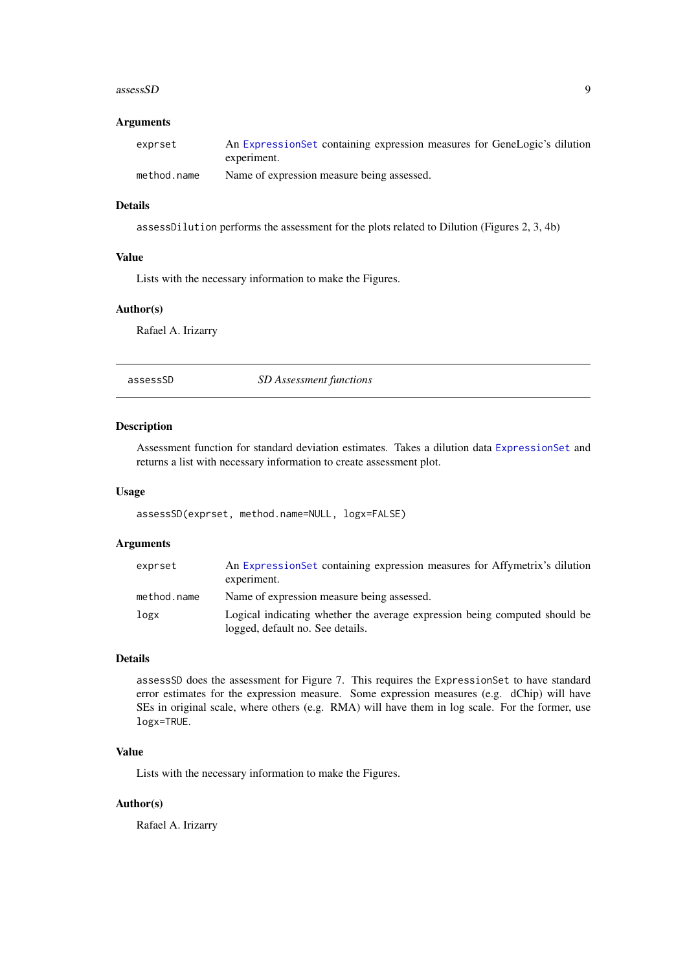#### <span id="page-8-0"></span> $assessSD$  9

#### Arguments

| exprset     | An ExpressionSet containing expression measures for GeneLogic's dilution |
|-------------|--------------------------------------------------------------------------|
|             | experiment.                                                              |
| method.name | Name of expression measure being assessed.                               |

#### Details

assessDilution performs the assessment for the plots related to Dilution (Figures 2, 3, 4b)

#### Value

Lists with the necessary information to make the Figures.

# Author(s)

Rafael A. Irizarry

assessSD *SD Assessment functions*

#### Description

Assessment function for standard deviation estimates. Takes a dilution data [ExpressionSet](#page-0-0) and returns a list with necessary information to create assessment plot.

#### Usage

assessSD(exprset, method.name=NULL, logx=FALSE)

#### Arguments

| exprset     | An Expression Set containing expression measures for Affymetrix's dilution<br>experiment.                      |
|-------------|----------------------------------------------------------------------------------------------------------------|
| method.name | Name of expression measure being assessed.                                                                     |
| logx        | Logical indicating whether the average expression being computed should be<br>logged, default no. See details. |

# Details

assessSD does the assessment for Figure 7. This requires the ExpressionSet to have standard error estimates for the expression measure. Some expression measures (e.g. dChip) will have SEs in original scale, where others (e.g. RMA) will have them in log scale. For the former, use logx=TRUE.

# Value

Lists with the necessary information to make the Figures.

#### Author(s)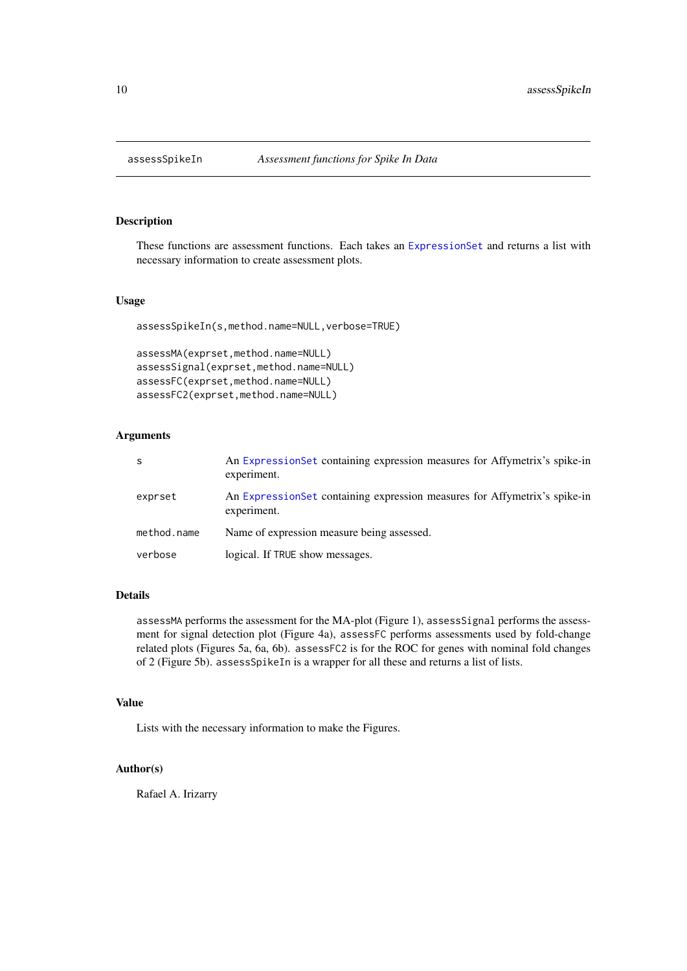<span id="page-9-1"></span><span id="page-9-0"></span>

These functions are assessment functions. Each takes an [ExpressionSet](#page-0-0) and returns a list with necessary information to create assessment plots.

# Usage

```
assessSpikeIn(s,method.name=NULL,verbose=TRUE)
```

```
assessMA(exprset,method.name=NULL)
assessSignal(exprset,method.name=NULL)
assessFC(exprset,method.name=NULL)
assessFC2(exprset,method.name=NULL)
```
# Arguments

| S           | An ExpressionSet containing expression measures for Affymetrix's spike-in<br>experiment. |
|-------------|------------------------------------------------------------------------------------------|
| exprset     | An ExpressionSet containing expression measures for Affymetrix's spike-in<br>experiment. |
| method.name | Name of expression measure being assessed.                                               |
| verbose     | logical. If TRUE show messages.                                                          |

#### Details

assessMA performs the assessment for the MA-plot (Figure 1), assessSignal performs the assessment for signal detection plot (Figure 4a), assessFC performs assessments used by fold-change related plots (Figures 5a, 6a, 6b). assessFC2 is for the ROC for genes with nominal fold changes of 2 (Figure 5b). assessSpikeIn is a wrapper for all these and returns a list of lists.

### Value

Lists with the necessary information to make the Figures.

# Author(s)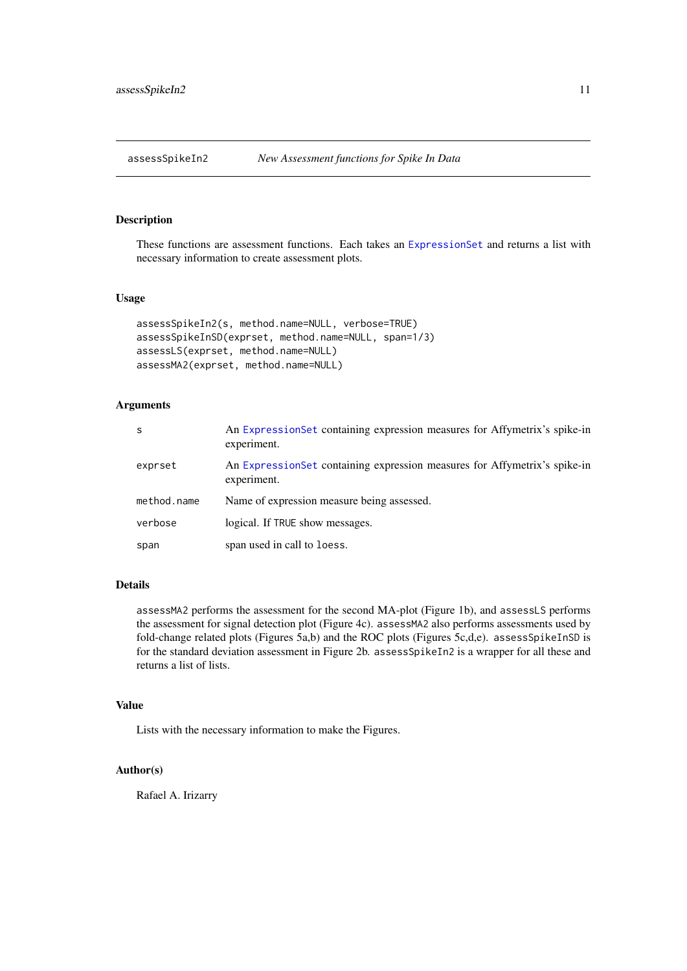<span id="page-10-2"></span><span id="page-10-1"></span><span id="page-10-0"></span>

These functions are assessment functions. Each takes an [ExpressionSet](#page-0-0) and returns a list with necessary information to create assessment plots.

#### Usage

```
assessSpikeIn2(s, method.name=NULL, verbose=TRUE)
assessSpikeInSD(exprset, method.name=NULL, span=1/3)
assessLS(exprset, method.name=NULL)
assessMA2(exprset, method.name=NULL)
```
# Arguments

| -S          | An Expression Set containing expression measures for Affymetrix's spike-in<br>experiment. |
|-------------|-------------------------------------------------------------------------------------------|
| exprset     | An Expression Set containing expression measures for Affymetrix's spike-in<br>experiment. |
| method.name | Name of expression measure being assessed.                                                |
| verbose     | logical. If TRUE show messages.                                                           |
| span        | span used in call to loess.                                                               |

### Details

assessMA2 performs the assessment for the second MA-plot (Figure 1b), and assessLS performs the assessment for signal detection plot (Figure 4c). assessMA2 also performs assessments used by fold-change related plots (Figures 5a,b) and the ROC plots (Figures 5c,d,e). assessSpikeInSD is for the standard deviation assessment in Figure 2b. assessSpikeIn2 is a wrapper for all these and returns a list of lists.

#### Value

Lists with the necessary information to make the Figures.

#### Author(s)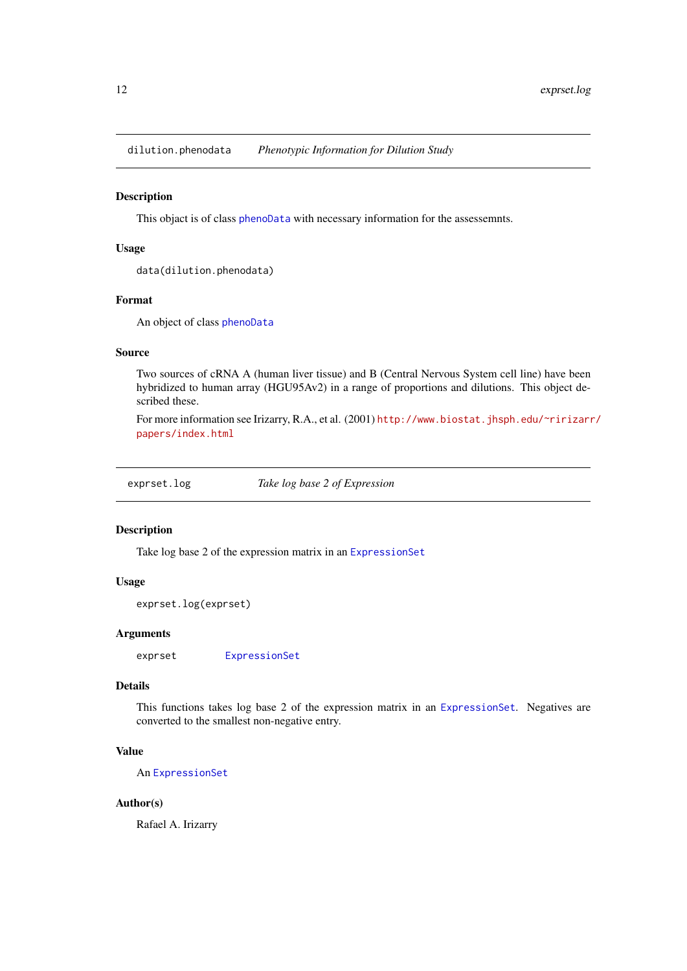<span id="page-11-0"></span>dilution.phenodata *Phenotypic Information for Dilution Study*

### Description

This objact is of class [phenoData](#page-0-0) with necessary information for the assessemnts.

# Usage

```
data(dilution.phenodata)
```
#### Format

An object of class [phenoData](#page-0-0)

#### Source

Two sources of cRNA A (human liver tissue) and B (Central Nervous System cell line) have been hybridized to human array (HGU95Av2) in a range of proportions and dilutions. This object described these.

For more information see Irizarry, R.A., et al. (2001) [http://www.biostat.jhsph.edu/~ririzarr](http://www.biostat.jhsph.edu/~ririzarr/papers/index.html)/ [papers/index.html](http://www.biostat.jhsph.edu/~ririzarr/papers/index.html)

exprset.log *Take log base 2 of Expression*

#### Description

Take log base 2 of the expression matrix in an [ExpressionSet](#page-0-0)

#### Usage

```
exprset.log(exprset)
```
#### Arguments

exprset [ExpressionSet](#page-0-0)

#### Details

This functions takes log base 2 of the expression matrix in an [ExpressionSet](#page-0-0). Negatives are converted to the smallest non-negative entry.

# Value

An [ExpressionSet](#page-0-0)

#### Author(s)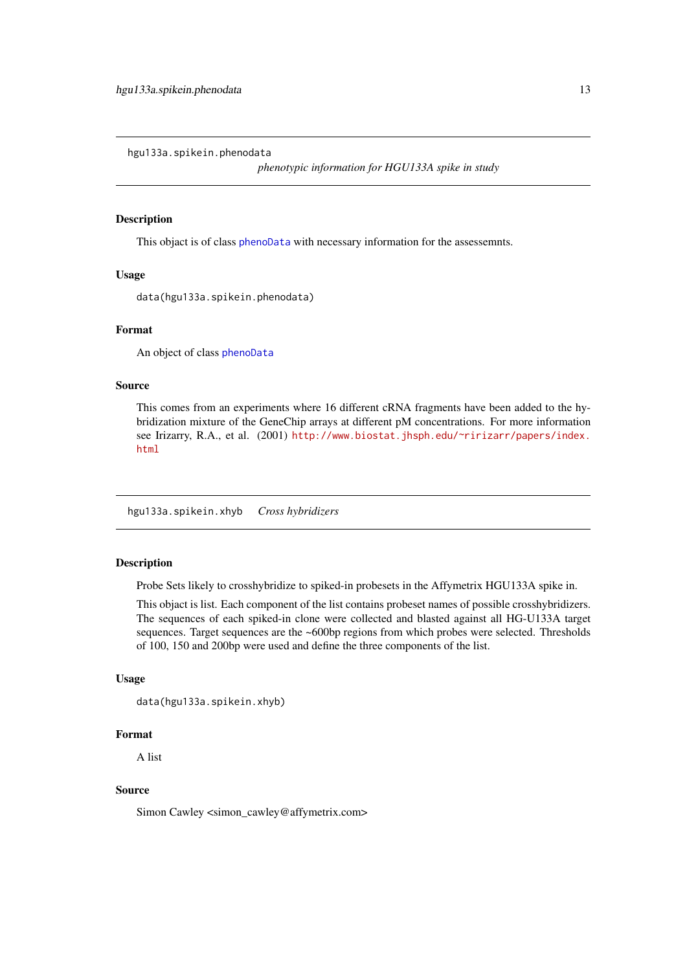<span id="page-12-0"></span>hgu133a.spikein.phenodata

*phenotypic information for HGU133A spike in study*

# Description

This objact is of class [phenoData](#page-0-0) with necessary information for the assessemnts.

#### Usage

data(hgu133a.spikein.phenodata)

#### Format

An object of class [phenoData](#page-0-0)

# Source

This comes from an experiments where 16 different cRNA fragments have been added to the hybridization mixture of the GeneChip arrays at different pM concentrations. For more information see Irizarry, R.A., et al. (2001) [http://www.biostat.jhsph.edu/~ririzarr/papers/index.](http://www.biostat.jhsph.edu/~ririzarr/papers/index.html) [html](http://www.biostat.jhsph.edu/~ririzarr/papers/index.html)

<span id="page-12-1"></span>hgu133a.spikein.xhyb *Cross hybridizers*

#### **Description**

Probe Sets likely to crosshybridize to spiked-in probesets in the Affymetrix HGU133A spike in.

This objact is list. Each component of the list contains probeset names of possible crosshybridizers. The sequences of each spiked-in clone were collected and blasted against all HG-U133A target sequences. Target sequences are the ~600bp regions from which probes were selected. Thresholds of 100, 150 and 200bp were used and define the three components of the list.

#### Usage

```
data(hgu133a.spikein.xhyb)
```
#### Format

A list

# Source

Simon Cawley <simon\_cawley@affymetrix.com>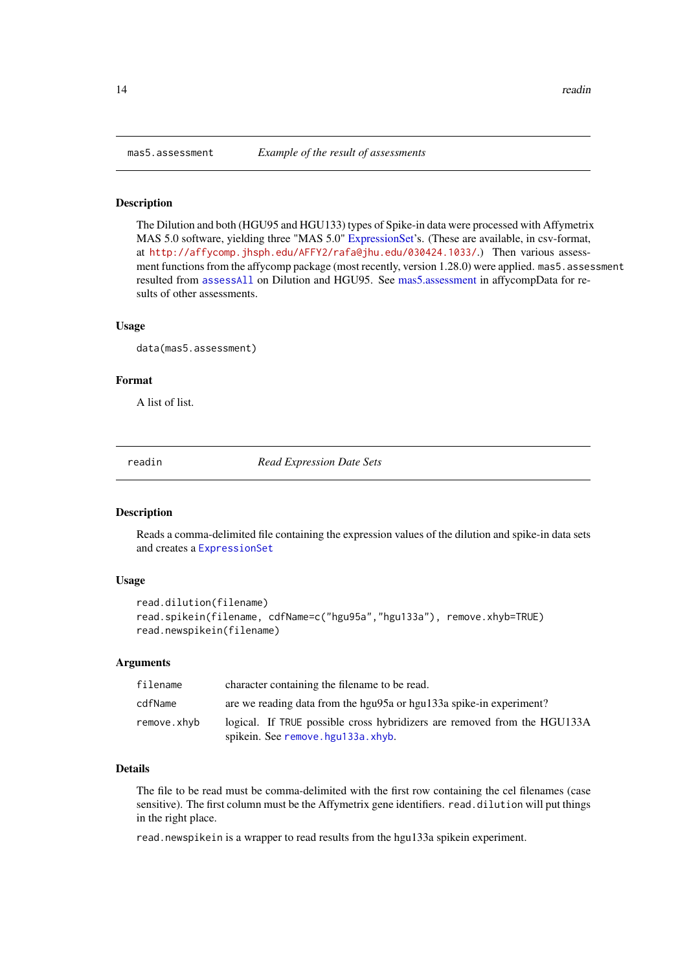The Dilution and both (HGU95 and HGU133) types of Spike-in data were processed with Affymetrix MAS 5.0 software, yielding three "MAS 5.0" [ExpressionSet'](#page-0-0)s. (These are available, in csv-format, at <http://affycomp.jhsph.edu/AFFY2/rafa@jhu.edu/030424.1033/>.) Then various assessment functions from the affycomp package (most recently, version 1.28.0) were applied. mas5. assessment resulted from [assessAll](#page-7-2) on Dilution and HGU95. See [mas5.assessment](#page-13-1) in affycompData for results of other assessments.

#### Usage

```
data(mas5.assessment)
```
# Format

A list of list.

readin *Read Expression Date Sets*

#### Description

Reads a comma-delimited file containing the expression values of the dilution and spike-in data sets and creates a [ExpressionSet](#page-0-0)

## Usage

```
read.dilution(filename)
read.spikein(filename, cdfName=c("hgu95a","hgu133a"), remove.xhyb=TRUE)
read.newspikein(filename)
```
#### Arguments

| filename    | character containing the filename to be read.                                                                       |
|-------------|---------------------------------------------------------------------------------------------------------------------|
| cdfName     | are we reading data from the hgu95a or hgu133a spike-in experiment?                                                 |
| remove.xhyb | logical. If TRUE possible cross hybridizers are removed from the HGU133A<br>spikein. See remove hgu $133a$ $x$ hyb. |

# Details

The file to be read must be comma-delimited with the first row containing the cel filenames (case sensitive). The first column must be the Affymetrix gene identifiers. read.dilution will put things in the right place.

read.newspikein is a wrapper to read results from the hgu133a spikein experiment.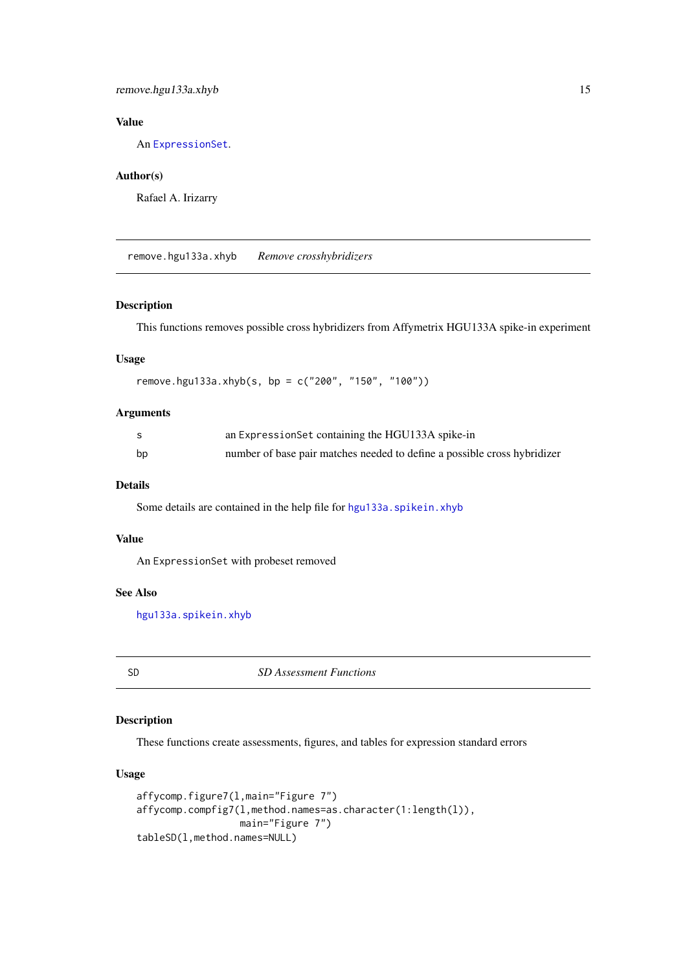# <span id="page-14-0"></span>remove.hgu133a.xhyb 15

# Value

An [ExpressionSet](#page-0-0).

#### Author(s)

Rafael A. Irizarry

<span id="page-14-1"></span>remove.hgu133a.xhyb *Remove crosshybridizers*

# Description

This functions removes possible cross hybridizers from Affymetrix HGU133A spike-in experiment

# Usage

remove.hgu133a.xhyb(s, bp = c("200", "150", "100"))

# Arguments

|    | an ExpressionSet containing the HGU133A spike-in                         |
|----|--------------------------------------------------------------------------|
| bp | number of base pair matches needed to define a possible cross hybridizer |

#### Details

Some details are contained in the help file for [hgu133a.spikein.xhyb](#page-12-1)

# Value

An ExpressionSet with probeset removed

#### See Also

[hgu133a.spikein.xhyb](#page-12-1)

SD *SD Assessment Functions*

#### Description

These functions create assessments, figures, and tables for expression standard errors

#### Usage

```
affycomp.figure7(l,main="Figure 7")
affycomp.compfig7(l,method.names=as.character(1:length(l)),
                  main="Figure 7")
tableSD(l,method.names=NULL)
```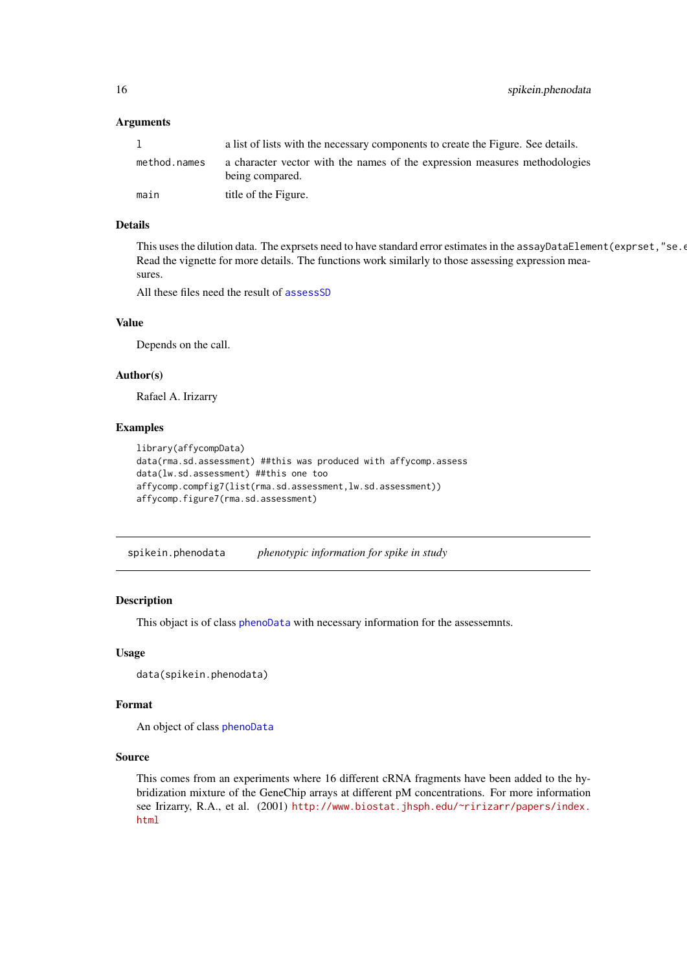#### Arguments

|              | a list of lists with the necessary components to create the Figure. See details.              |
|--------------|-----------------------------------------------------------------------------------------------|
| method.names | a character vector with the names of the expression measures methodologies<br>being compared. |
| main         | title of the Figure.                                                                          |

#### Details

This uses the dilution data. The exprsets need to have standard error estimates in the assayDataElement (exprset, "se. Read the vignette for more details. The functions work similarly to those assessing expression measures.

All these files need the result of [assessSD](#page-8-1)

# Value

Depends on the call.

#### Author(s)

Rafael A. Irizarry

#### Examples

```
library(affycompData)
data(rma.sd.assessment) ##this was produced with affycomp.assess
data(lw.sd.assessment) ##this one too
affycomp.compfig7(list(rma.sd.assessment,lw.sd.assessment))
affycomp.figure7(rma.sd.assessment)
```
spikein.phenodata *phenotypic information for spike in study*

#### Description

This objact is of class [phenoData](#page-0-0) with necessary information for the assessemnts.

# Usage

```
data(spikein.phenodata)
```
#### Format

An object of class [phenoData](#page-0-0)

#### Source

This comes from an experiments where 16 different cRNA fragments have been added to the hybridization mixture of the GeneChip arrays at different pM concentrations. For more information see Irizarry, R.A., et al. (2001) [http://www.biostat.jhsph.edu/~ririzarr/papers/index.](http://www.biostat.jhsph.edu/~ririzarr/papers/index.html) [html](http://www.biostat.jhsph.edu/~ririzarr/papers/index.html)

<span id="page-15-0"></span>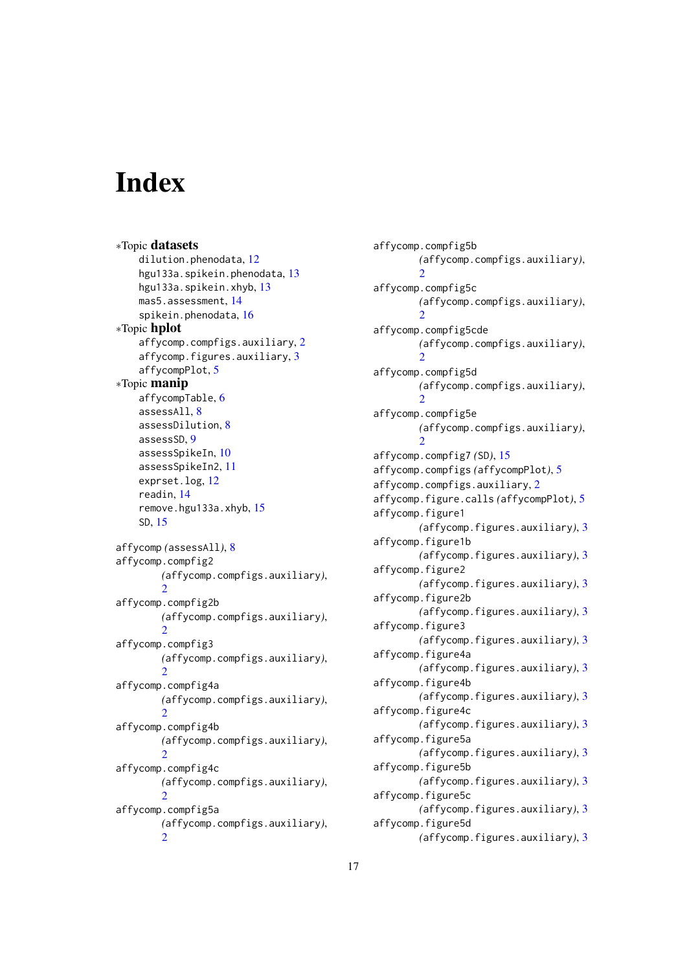# <span id="page-16-0"></span>Index

∗Topic datasets dilution.phenodata, [12](#page-11-0) hgu133a.spikein.phenodata, [13](#page-12-0) hgu133a.spikein.xhyb, [13](#page-12-0) mas5.assessment, [14](#page-13-0) spikein.phenodata, [16](#page-15-0) ∗Topic hplot affycomp.compfigs.auxiliary, [2](#page-1-0) affycomp.figures.auxiliary, [3](#page-2-0) affycompPlot, [5](#page-4-0) ∗Topic manip affycompTable, [6](#page-5-0) assessAll, [8](#page-7-0) assessDilution, [8](#page-7-0) assessSD, [9](#page-8-0) assessSpikeIn, [10](#page-9-0) assessSpikeIn2, [11](#page-10-0) exprset.log, [12](#page-11-0) readin, [14](#page-13-0) remove.hgu133a.xhyb, [15](#page-14-0) SD, [15](#page-14-0) affycomp *(*assessAll*)*, [8](#page-7-0) affycomp.compfig2 *(*affycomp.compfigs.auxiliary*)*, [2](#page-1-0) affycomp.compfig2b *(*affycomp.compfigs.auxiliary*)*,  $\mathfrak{D}$ affycomp.compfig3 *(*affycomp.compfigs.auxiliary*)*,  $\mathcal{D}$ affycomp.compfig4a *(*affycomp.compfigs.auxiliary*)*, [2](#page-1-0) affycomp.compfig4b *(*affycomp.compfigs.auxiliary*)*,  $\mathcal{L}$ affycomp.compfig4c *(*affycomp.compfigs.auxiliary*)*, [2](#page-1-0) affycomp.compfig5a *(*affycomp.compfigs.auxiliary*)*, [2](#page-1-0)

affycomp.compfig5b *(*affycomp.compfigs.auxiliary*)*, [2](#page-1-0) affycomp.compfig5c *(*affycomp.compfigs.auxiliary*)*,  $\mathcal{L}$ affycomp.compfig5cde *(*affycomp.compfigs.auxiliary*)*, [2](#page-1-0) affycomp.compfig5d *(*affycomp.compfigs.auxiliary*)*,  $\mathcal{L}$ affycomp.compfig5e *(*affycomp.compfigs.auxiliary*)*, [2](#page-1-0) affycomp.compfig7 *(*SD*)*, [15](#page-14-0) affycomp.compfigs *(*affycompPlot*)*, [5](#page-4-0) affycomp.compfigs.auxiliary, [2](#page-1-0) affycomp.figure.calls *(*affycompPlot*)*, [5](#page-4-0) affycomp.figure1 *(*affycomp.figures.auxiliary*)*, [3](#page-2-0) affycomp.figure1b *(*affycomp.figures.auxiliary*)*, [3](#page-2-0) affycomp.figure2 *(*affycomp.figures.auxiliary*)*, [3](#page-2-0) affycomp.figure2b *(*affycomp.figures.auxiliary*)*, [3](#page-2-0) affycomp.figure3 *(*affycomp.figures.auxiliary*)*, [3](#page-2-0) affycomp.figure4a *(*affycomp.figures.auxiliary*)*, [3](#page-2-0) affycomp.figure4b *(*affycomp.figures.auxiliary*)*, [3](#page-2-0) affycomp.figure4c *(*affycomp.figures.auxiliary*)*, [3](#page-2-0) affycomp.figure5a *(*affycomp.figures.auxiliary*)*, [3](#page-2-0) affycomp.figure5b *(*affycomp.figures.auxiliary*)*, [3](#page-2-0) affycomp.figure5c *(*affycomp.figures.auxiliary*)*, [3](#page-2-0) affycomp.figure5d *(*affycomp.figures.auxiliary*)*, [3](#page-2-0)